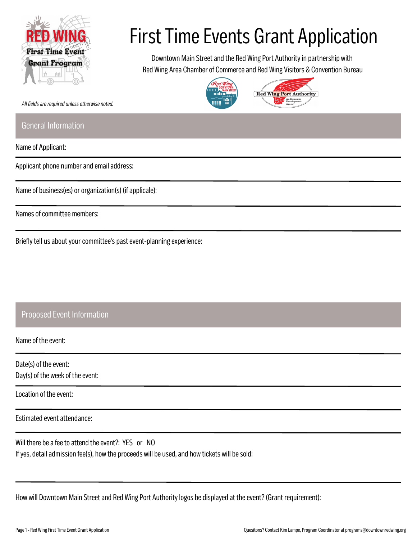

## First Time Events Grant Application

Downtown Main Street and the Red Wing Port Authority in partnership with Red Wing Area Chamber of Commerce and Red Wing Visitors & Convention Bureau





*All fields are required unless otherwise noted.*

## General Information

Name of Applicant:

Applicant phone number and email address:

Name of business(es) or organization(s) (if applicale):

Names of committee members:

Briefly tell us about your committee's past event-planning experience:

## Proposed Event Information

Name of the event:

Date(s) of the event: Day(s) of the week of the event:

Location of the event:

Estimated event attendance:

Will there be a fee to attend the event?: YES or NO If yes, detail admission fee(s), how the proceeds will be used, and how tickets will be sold:

How will Downtown Main Street and Red Wing Port Authority logos be displayed at the event? (Grant requirement):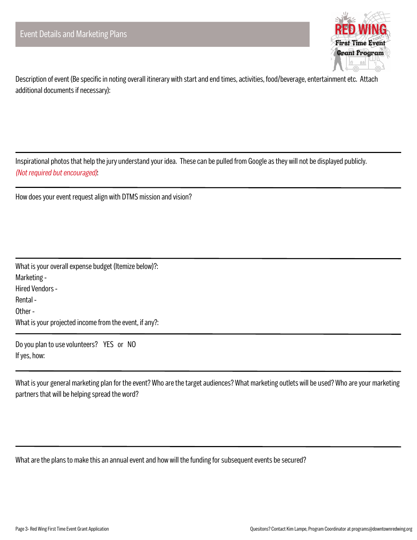

Description of event (Be specific in noting overall itinerary with start and end times, activities, food/beverage, entertainment etc. Attach additional documents if necessary):

Inspirational photos that help the jury understand your idea. These can be pulled from Google as they will not be displayed publicly. *(Not required but encouraged)*:

How does your event request align with DTMS mission and vision?

What is your overall expense budget (Itemize below)?: Marketing - Hired Vendors - Rental - Other - What is your projected income from the event, if any?:

Do you plan to use volunteers? YES or NO If yes, how:

What is your general marketing plan for the event? Who are the target audiences? What marketing outlets will be used? Who are your marketing partners that will be helping spread the word?

What are the plans to make this an annual event and how will the funding for subsequent events be secured?